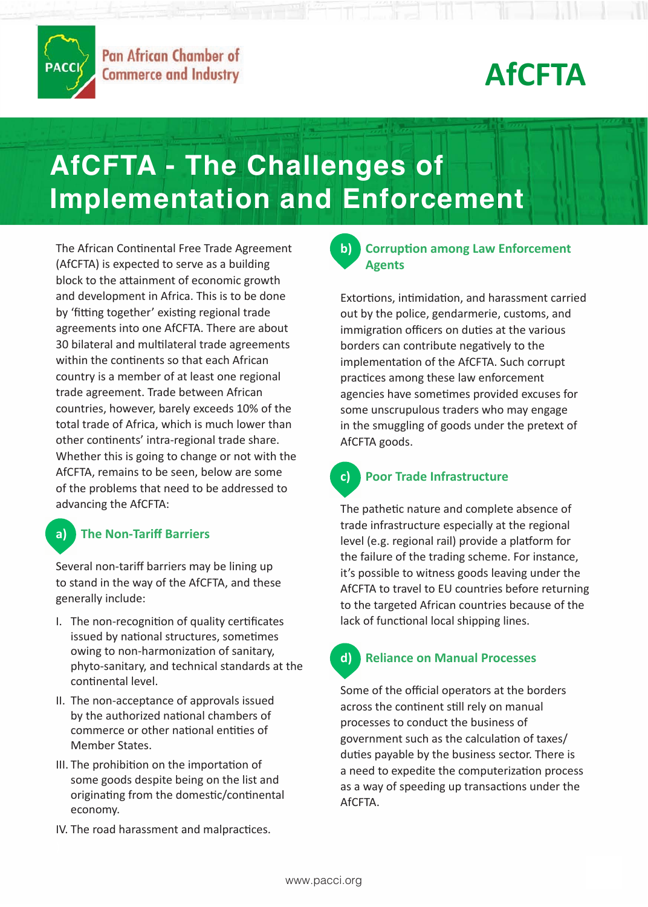

# **AfCFTA**

# **AfCFTA - The Challenges of Implementation and Enforcement**

Whether this is going to change or not with the The African Continental Free Trade Agreement (AfCFTA) is expected to serve as a building block to the attainment of economic growth and development in Africa. This is to be done by 'fitting together' existing regional trade agreements into one AfCFTA. There are about 30 bilateral and multilateral trade agreements within the continents so that each African country is a member of at least one regional trade agreement. Trade between African countries, however, barely exceeds 10% of the total trade of Africa, which is much lower than other continents' intra-regional trade share. AfCFTA, remains to be seen, below are some of the problems that need to be addressed to advancing the AfCFTA:

### **a) The Non-Tariff Barriers**

Several non-tariff barriers may be lining up to stand in the way of the AfCFTA, and these generally include:

- I. The non-recognition of quality certificates issued by national structures, sometimes owing to non-harmonization of sanitary, phyto-sanitary, and technical standards at the continental level.
- II. The non-acceptance of approvals issued by the authorized national chambers of commerce or other national entities of Member States.
- III. The prohibition on the importation of some goods despite being on the list and originating from the domestic/continental economy.
- IV. The road harassment and malpractices.

### **b) Corruption among Law Enforcement Agents**

Extortions, intimidation, and harassment carried out by the police, gendarmerie, customs, and immigration officers on duties at the various borders can contribute negatively to the implementation of the AfCFTA. Such corrupt practices among these law enforcement agencies have sometimes provided excuses for some unscrupulous traders who may engage in the smuggling of goods under the pretext of AfCFTA goods.

## **c) Poor Trade Infrastructure**

The pathetic nature and complete absence of trade infrastructure especially at the regional level (e.g. regional rail) provide a platform for the failure of the trading scheme. For instance, it's possible to witness goods leaving under the AfCFTA to travel to EU countries before returning to the targeted African countries because of the lack of functional local shipping lines.

## **d) Reliance on Manual Processes**

Some of the official operators at the borders across the continent still rely on manual processes to conduct the business of government such as the calculation of taxes/ duties payable by the business sector. There is a need to expedite the computerization process as a way of speeding up transactions under the AfCFTA.